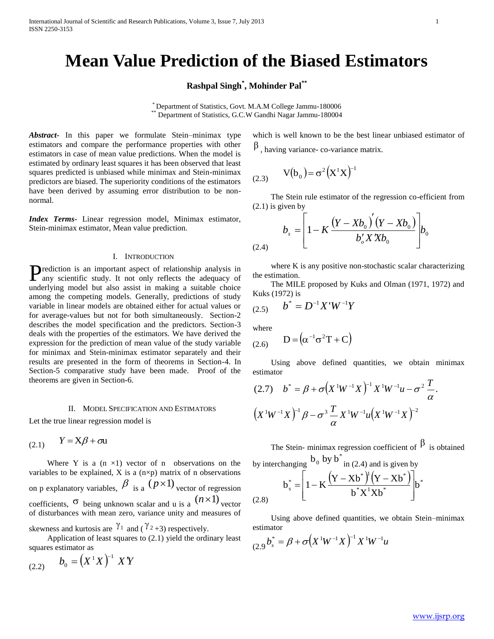# **Mean Value Prediction of the Biased Estimators**

**Rashpal Singh\* , Mohinder Pal\*\***

\* Department of Statistics, Govt. M.A.M College Jammu-180006 \*\* Department of Statistics, G.C.W Gandhi Nagar Jammu-180004

*Abstract***-** In this paper we formulate Stein–minimax type estimators and compare the performance properties with other estimators in case of mean value predictions. When the model is estimated by ordinary least squares it has been observed that least squares predicted is unbiased while minimax and Stein-minimax predictors are biased. The superiority conditions of the estimators have been derived by assuming error distribution to be nonnormal.

*Index Terms*- Linear regression model, Minimax estimator, Stein-minimax estimator, Mean value prediction.

## I. INTRODUCTION

Prediction is an important aspect of relationship analysis in any scientific study. It not only reflects the adequacy of any scientific study. It not only reflects the adequacy of underlying model but also assist in making a suitable choice among the competing models. Generally, predictions of study variable in linear models are obtained either for actual values or for average-values but not for both simultaneously. Section-2 describes the model specification and the predictors. Section-3 deals with the properties of the estimators. We have derived the expression for the prediction of mean value of the study variable for minimax and Stein-minimax estimator separately and their results are presented in the form of theorems in Section-4. In Section-5 comparative study have been made. Proof of the theorems are given in Section-6.

#### II. MODEL SPECIFICATION AND ESTIMATORS

Let the true linear regression model is

$$
(2.1) \qquad Y = X\beta + \sigma u
$$

Where Y is a  $(n \times 1)$  vector of n observations on the variables to be explained,  $X$  is a (n $\times$ p) matrix of n observations on p explanatory variables,  $\beta$  is a  $(p \times 1)$  vector of regression coefficients,  $\sigma$  being unknown scalar and u is a  $(n \times 1)$  vector of disturbances with mean zero, variance unity and measures of skewness and kurtosis are  $\gamma_1$  and  $(\gamma_2)_{+3}$  respectively.

 Application of least squares to (2.1) yield the ordinary least squares estimator as

(2.2) 
$$
b_0 = (X^1 X)^{-1} XY
$$

which is well known to be the best linear unbiased estimator of  $\beta$ , having variance- co-variance matrix.

(2.3) 
$$
V(b_0) = \sigma^2 (X^1 X)^{-1}
$$

 The Stein rule estimator of the regression co-efficient from (2.1) is given by

$$
b_{s} = \left[1 - K \frac{(Y - Xb_{0})^{'}(Y - Xb_{0})}{b_{o}^{'}X^{'}Xb_{0}}\right]b_{0}
$$
\n(2.4)

 where K is any positive non-stochastic scalar characterizing the estimation.

 The MILE proposed by Kuks and Olman (1971, 1972) and Kuks (1972) is

$$
(2.5) \qquad b^* = D^{-1}X'W^{-1}Y
$$

where

$$
(2.6) \qquad D = \left(\alpha^{-1}\sigma^2T + C\right)
$$

 Using above defined quantities, we obtain minimax estimator

$$
(2.7) \t b^* = \beta + \sigma \big(X^1 W^{-1} X\big)^{-1} X^1 W^{-1} u - \sigma^2 \frac{T}{\alpha}.
$$

$$
\big(X^1 W^{-1} X\big)^{-1} \beta - \sigma^3 \frac{T}{\alpha} X^1 W^{-1} u \big(X^1 W^{-1} X\big)^{-2}
$$

The Stein- minimax regression coefficient of  $\beta$  is obtained

by interchanging 
$$
b_0
$$
 by  $b^*$  in (2.4) and is given by  
\n
$$
b_s^* = \left[1 - K \frac{(Y - Xb^*)^1 (Y - Xb^*)}{b^* X^1 Xb^*}\right] b^*
$$
\n(2.8)

 Using above defined quantities, we obtain Stein–minimax estimator

$$
{}_{(2.9}b_s^* = \beta + \sigma \left(X^1 W^{-1} X\right)^{-1} X^1 W^{-1} u
$$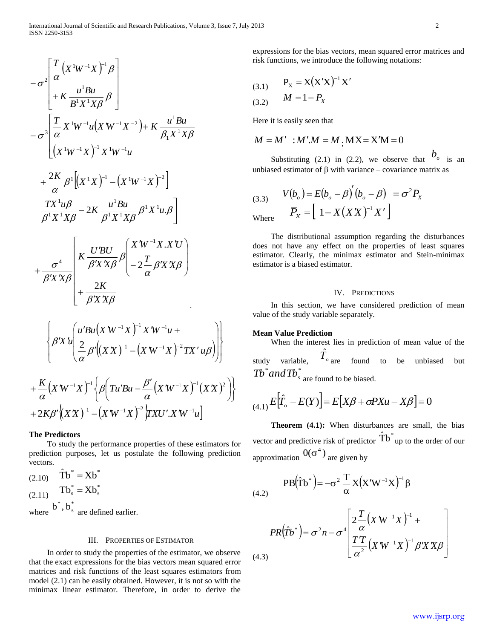$$
-\sigma^{2}\left[\frac{T}{\alpha}(X^{\dagger}W^{-1}X)^{-1}\beta\right] + K\frac{u^{1}Bu}{B^{1}X^{1}X\beta}\beta\right] \n-\sigma^{3}\left[\frac{T}{\alpha}X^{\dagger}W^{-1}u(X^{\dagger}W^{-1}X^{-2}) + K\frac{u^{1}Bu}{\beta_{1}X^{1}X\beta}\right] \n+\frac{2K}{\alpha}\beta^{1}[(X^{\dagger}X)^{-1}-(X^{\dagger}W^{-1}X)^{-2}] \n\frac{TX^{\dagger}u\beta}{B^{1}X^{1}X\beta} - 2K\frac{u^{1}Bu}{\beta^{1}X^{1}X\beta}\beta^{1}X^{\dagger}u.\beta\right] \n+\frac{\sigma^{4}}{\beta^{2}X^{1}X\beta} \left[K\frac{U'BU}{\beta'XX\beta}\beta\left(-2\frac{T}{\alpha}\beta XX\beta\right) + \frac{2K}{\beta'XX\beta}\right] \n+\frac{2K}{\beta'XX\beta} + \frac{2K}{\beta'XX\beta} \n+\frac{2K}{\beta'XX\beta} \n+\frac{2K}{\beta'XX\beta} \left[\frac{u'Bu(XW^{-1}X)^{-1}XW^{-1}u + \frac{2K}{\alpha}(X^{\dagger}W^{-1}X)^{-2}TX^{\dagger}u\beta\right] \right] \n+\frac{K}{\alpha}(XW^{-1}X)^{-1}\left\{\beta\left(Tu'Bu - \frac{\beta'}{\alpha}(X^{\dagger}W^{-1}X)^{-1}(XX)^{2}A^{\dagger}X\right)\right\} \n+\frac{K}{\alpha}(X^{\dagger}W^{-1}X)^{-1}\left\{\beta\left(Tu'Bu - \frac{\beta'}{\alpha}(X^{\dagger}W^{-1}X)^{-1}(XX)^{2}A^{\dagger}X\right)\right\} \n+\frac{K}{\alpha}(X^{\dagger}W^{-1}X)^{-1}\left\{\beta\left(Tu'Bu - \frac{\beta'}{\alpha}(X^{\dagger}W^{-1}X)^{-1}(XX)^{2}A^{\dagger}X\right)\right\} \n+\frac{1}{\alpha}\left[\frac{1}{\alpha}\frac{1}{\alpha}\frac{1}{\alpha}\frac{1}{\alpha}\frac{1}{\alpha}\frac{1}{\alpha}\frac{1}{\alpha}\frac{1}{\alpha}\frac{
$$

$$
+\frac{\kappa}{\alpha}\left(X'W^{-1}X\right)^{-1}\left\{\beta\left(Tu'Bu-\frac{\beta'}{\alpha}\left(X'W^{-1}X\right)^{-1}\left(X'X\right)\right.\right.+2K\beta'\left(\lambda'X\right)^{-1}-\left(X'W^{-1}X\right)^{-2}\left,TXU'.X'W^{-1}u\right]\right\}
$$

# **The Predictors**

 To study the performance properties of these estimators for prediction purposes, let us postulate the following prediction vectors.

(2.10) 
$$
\hat{\mathbf{T}} \mathbf{b}^* = \mathbf{X} \mathbf{b}^*
$$
  
(2.11) 
$$
\mathbf{T} \mathbf{b}^* = \mathbf{X} \mathbf{b}^*_{\mathbf{s}}
$$
  
where  $\mathbf{b}^*, \mathbf{b}^*_{\mathbf{s}}$  are defined earlier.

### III. PROPERTIES OF ESTIMATOR

 In order to study the properties of the estimator, we observe that the exact expressions for the bias vectors mean squared error matrices and risk functions of the least squares estimators from model (2.1) can be easily obtained. However, it is not so with the minimax linear estimator. Therefore, in order to derive the

expressions for the bias vectors, mean squared error matrices and risk functions, we introduce the following notations:

(3.1) 
$$
P_X = X (X'X)^{-1} X'
$$
  
(3.2) 
$$
M = 1 - P_X
$$

Here it is easily seen that

$$
M = M' : M'M = M, \text{MX} = \text{X'M} = 0
$$

Substituting (2.1) in (2.2), we observe that  $b_{\circ}$  is an unbiased estimator of  $\beta$  with variance – covariance matrix as

(3.3) 
$$
V(b_o) = E(b_o - \beta)(b_o - \beta) = \sigma^2 \overline{P}_X
$$
  
Where 
$$
\overline{P}_X = \left[1 - X(XX)^{-1}X'\right]
$$

 The distributional assumption regarding the disturbances does not have any effect on the properties of least squares estimator. Clearly, the minimax estimator and Stein-minimax estimator is a biased estimator.

# IV. PREDICTIONS

 In this section, we have considered prediction of mean value of the study variable separately.

# **Mean Value Prediction**

 When the interest lies in prediction of mean value of the study variable,  $\hat{T}_{_{o}}$ to be unbiased but  $Tb^*$  and  $Tb^*$ <sub>s</sub> are found to be biased.

$$
E[\hat{T}_o - E(Y)] = E[X\beta + \sigma P X u - X\beta] = 0
$$

 **Theorem (4.1):** When disturbances are small, the bias vector and predictive risk of predictor  $\hat{\text{T}}\text{b}^*$  up to the order of our approximation  $0(\sigma^4)$  are given by

 $(4.2)$ 

 $\int$  $\left\{ \right\}$  $\mathbf{I}$ 

 $\overline{\phantom{a}}$ J  $\setminus$ 

$$
PB(\hat{T}b^*) = -\sigma^2 \frac{T}{\alpha} X (X'W^{-1}X)^{-1} \beta
$$

$$
\int_{Q} T \left( \mathbf{v}^T W^{-1} \mathbf{v} \right)^{-1} dV
$$

$$
PR(\hat{T}b^*) = \sigma^2 n - \sigma^4 \left[ \frac{2 \frac{1}{\alpha} (X^{*}W^{-1}X)^{-1} + \frac{1}{\alpha^2} (X^{*}W^{-1}X)^{-1} \beta' X^{*} X \beta \right]
$$
\n(4.3)

٦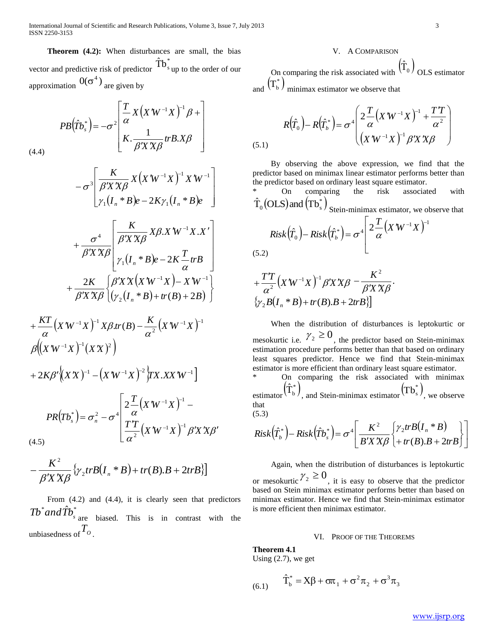International Journal of Scientific and Research Publications, Volume 3, Issue 7, July 2013 3 ISSN 2250-3153

 **Theorem (4.2):** When disturbances are small, the bias vector and predictive risk of predictor  $\mathbf{\hat{T}b}^*_s$ up to the order of our approximation  $0(\sigma^4)$  are given by

$$
PB(\hat{T}b_s^*) = -\sigma^2 \left[ \frac{T}{\alpha} X (X^*W^{-1}X)^{-1} \beta + \begin{bmatrix} 1 \\ K \cdot \frac{1}{\beta'X'X\beta} trB.X\beta \end{bmatrix} \right]
$$
\n(4.4)

 $(X'W^{-1}X)$  $(I_n * B)e - 2K\gamma_1(I_n * B)e$  $\overline{\phantom{a}}$  $\overline{\phantom{a}}$  $\overline{\phantom{a}}$  $\overline{\phantom{a}}$  $\mathsf{L}$  $\mathsf{L}$  $\mathbf{r}$ L  $\mathbf{r}$ - $W^{-1}X \mathop{\rule[1pt]{.5pt}{1pt}}\nolimits^\mathbf{-1} X$   $\mathbf{\Lambda}$  $- \sigma^3 \vert \; \beta' X'$  $-1$   $\mathbf{v}$   $\mathbf{v}$   $\mathbf{v}$   $\mathbf{w}$  $I_n * B e - 2K \gamma_1 (I_n * B) e$  $X$   $(X$   $W^{-1}X$   $)$   $^{-1}$   $X$   $W$ *X X K*  $\gamma_1 (I_n * B)e - 2K \gamma_1 (I_n *$  $1$   $\mathbf{v}$   $\mathbf{v}$   $\mathbf{v}$   $\mathbf{u}$  $\mathbf{v}$   $\mathbf{v}$ 3  $\gamma_1 (I_n \circ B)e - 2K\gamma$  $\sigma^3$   $\beta$   $X$   $X$  $\beta$  $(I_n * B)e - 2K - trB$  $\overline{\phantom{a}}$  $\overline{\phantom{a}}$  $\overline{\phantom{a}}$ J  $\overline{\phantom{a}}$  $\mathsf{L}$  $\overline{ }$  $\overline{a}$  $\overline{a}$ L  $\overline{a}$ - $\mathcal{W}^{-1}X.X'$  $'X'$  $'X'$  $\ddot{}$ - $I_n * B$  $e - 2K \frac{T}{m}$  $X\beta$   $X$   $W^{-1}X$   $X$ *X X K X X*  $\gamma_1 (I_n * B)e - 2K - \frac{1}{\alpha}$  $\beta$ .  $\beta$ 'X'X $\beta$  $\beta$ 'X'X $\beta$ σ \*  $B$ )e – 2  $X^rW^{-1}X$ . 1 1 4  $(X'W^{-1}X)$ - $(y_2(I_n * B) + tr(B) + 2B)$  $\mathbf{I}$  $\overline{\mathcal{L}}$ ╎  $\int$  $+ tr(B) +$  $'X'X(X'W^{-1}X) - X'$  $'X'$  $\ddot{}$  $-1$   $\mathbf{v}$   $\mathbf{v}$   $\mathbf{v}$   $\mathbf{w}$   $\mathbf{v}$  $I_n * B$  +  $tr(B) + 2B$  $X$   $X$   $(X$   $W^{-1}X$   $)- X$   $W$ *X X K*  $(r_n * B) + tr(B) + 2$ 2 2  $\vert \mathbf{v} \vert$   $\mathbf{v}$   $\hbar$   $\mathbf{v}$   $\vert$ Y  $\beta$  $\beta$ 'X'X $\beta$ 

$$
+\frac{KT}{\alpha}(X'W^{-1}X)^{-1}X\beta tr(B) - \frac{K}{\alpha^2}(X'W^{-1}X)^{-1}
$$
  

$$
\beta((X'W^{-1}X)^{-1}(XX)^2)
$$
  

$$
+2K\beta'\left((XX)^{-1} - (X'W^{-1}X)^{-2}\right)TX.XX'W^{-1}]
$$
  

$$
PR(Tb_s^*) = \sigma_n^2 - \sigma^4 \left[\frac{2\frac{T}{\alpha}(X'W^{-1}X)^{-1} - \frac{2T}{\alpha^2}(X'W^{-1}X)^{-1}\beta'X'X\beta' - \frac{T}{\alpha^2}(X'W^{-1}X)^{-1}\beta'X'X\beta'\right]
$$
  
(4.5)

$$
-\frac{K^2}{\beta'X\chi\beta}\left\{\gamma_2trB(I_n * B) + tr(B).B + 2trB\right\}\right]
$$

From  $(4.2)$  and  $(4.4)$ , it is clearly seen that predictors  $Tb^*$  *and*  $\hat{Tb}^*$ <sub>s</sub> are biased. This is in contrast with the unbiasedness of *TO* .

## V. A COMPARISON

On comparing the risk associated with  $(\hat{T}_0)$ OLS estimator and  $(T_b^*)$  minimax estimator we observe that

$$
R(\hat{T}_0) - R(\hat{T}_b^*) = \sigma^4 \left( 2 \frac{T}{\alpha} (X'W^{-1}X)^{-1} + \frac{T'T}{\alpha^2} \right)
$$
\n(5.1)

 By observing the above expression, we find that the predictor based on minimax linear estimator performs better than the predictor based on ordinary least square estimator.

On comparing the risk associated with  $\hat{\mathrm{T}}_{0}(\text{OLS})$  and  $(\text{Tb}_{\mathrm{s}}^{*})$ Stein-minimax estimator, we observe that

$$
Risk(\hat{T}_0) - Risk(\hat{T}_b^*) = \sigma^4 \left[ 2\frac{T}{\alpha} \left( X'W^{-1}X \right)^{-1} \right]
$$
\n(5.2)

$$
+\frac{T}{\alpha^2}\left(X'W^{-1}X\right)^{-1}\beta'X'X\beta-\frac{K^2}{\beta'X'X\beta}.
$$
  

$$
\left\{\gamma_2B(I_n*B)+tr(B).B+2trB\right\}
$$

 When the distribution of disturbances is leptokurtic or mesokurtic i.e.  $\gamma_2 \ge 0$ , the predictor based on Stein-minimax estimation procedure performs better than that based on ordinary least squares predictor. Hence we find that Stein-minimax estimator is more efficient than ordinary least square estimator.

On comparing the risk associated with minimax  $_{\text{estimator}}(\hat{\mathrm{T}}_{\mathrm{b}}^{*}),$ , and Stein-minimax estimator  $(Tb_s^*)$ , we observe that (5.3)

$$
Risk(\hat{T}_b^*) - Risk(\hat{T}_b^*) = \sigma^4 \left[ \frac{K^2}{B'X'X\beta} \left\{ \gamma_2 trB(I_n * B) \atop + tr(B).B + 2trB \right\} \right]
$$

 Again, when the distribution of disturbances is leptokurtic or mesokurtic  $\gamma_2 \ge 0$ , it is easy to observe that the predictor based on Stein minimax estimator performs better than based on minimax estimator. Hence we find that Stein-minimax estimator is more efficient then minimax estimator.

#### VI. PROOF OF THE THEOREMS

**Theorem 4.1** Using (2.7), we get

(6.1) 
$$
\hat{T}_{b}^{*} = X\beta + \sigma \pi_{1} + \sigma^{2} \pi_{2} + \sigma^{3} \pi_{3}
$$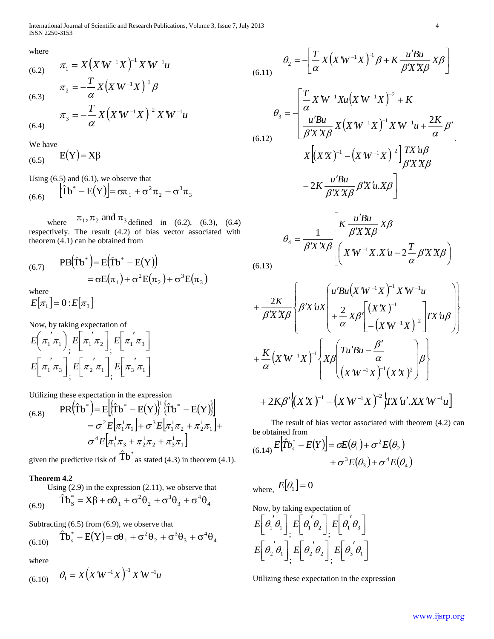International Journal of Scientific and Research Publications, Volume 3, Issue 7, July 2013 4 ISSN 2250-3153

where

(6.2) 
$$
\pi_1 = X \left( X W^{-1} X \right)^{-1} X W^{-1} u
$$

$$
\pi_2 = -\frac{T}{\alpha} X \left( X W^{-1} X \right)^{-1} \beta
$$

$$
\pi_3 = -\frac{T}{\alpha} X \left( X W^{-1} X \right)^{-2} X W^{-1} u
$$

$$
(6.4)
$$

We have

 $(6.5)$  $E(Y) = X\beta$ 

Using (6.5) and (6.1), we observe that

(6.6) 
$$
\left| \hat{T}b^* - E(Y) \right| = \sigma \pi_1 + \sigma^2 \pi_2 + \sigma^3 \pi_3
$$

 where  $\pi_1, \pi_2$  and  $\pi_3$  defined in (6.2), (6.3), (6.4) respectively. The result (4.2) of bias vector associated with theorem (4.1) can be obtained from

(6.7) 
$$
PB(\hat{T}b^*)=E(\hat{T}b^*-E(Y))
$$

$$
=\sigma E(\pi_1)+\sigma^2 E(\pi_2)+\sigma^3 E(\pi_3)
$$
where

where

$$
E[\pi_1] = 0: E[\pi_3]
$$

Now, by taking expectation of

$$
E\left(\pi_1^{'}\pi_1\right)_{\vdots} E\left[\pi_1^{'}\pi_2\right]_{\vdots} E\left[\pi_1^{'}\pi_3\right]
$$

$$
E\left[\pi_1^{'}\pi_3\right]_{\vdots} E\left[\pi_2^{'}\pi_1\right]_{\vdots} E\left[\pi_3^{'}\pi_1\right]
$$

Utilizing these expectation in the expression

(6.8) 
$$
PR(\hat{T}b^*) = E[(\hat{T}b^* - E(Y))] (\hat{T}b^* - E(Y))]
$$

$$
= \sigma^2 E[\pi_1^1 \pi_1] + \sigma^3 E[\pi_1^1 \pi_2 + \pi_2^1 \pi_1] + \sigma^4 E[\pi_1^1 \pi_3 + \pi_2^1 \pi_2 + \pi_3^1 \pi_1]
$$

given the predictive risk of  $\hat{T}b^*$  as stated (4.3) in theorem (4.1).

# **Theorem 4.2**

Using (2.9) in the expression (2.11), we observe that

$$
(6.9) \qquad \hat{\text{T}}\text{b}_\text{S}^* = \text{X}\beta + \sigma\theta_1 + \sigma^2\theta_2 + \sigma^3\theta_3 + \sigma^4\theta_4
$$

Subtracting (6.5) from (6.9), we observe that

$$
(6.10) \quad \hat{\text{T}}\text{b}_s^* - \text{E}(\text{Y}) = \sigma\theta_1 + \sigma^2\theta_2 + \sigma^3\theta_3 + \sigma^4\theta_4
$$

where

$$
(6.10) \quad \theta_1 = X(X'W^{-1}X)^{-1}X'W^{-1}u
$$

$$
\theta_2 = -\left[ \frac{T}{\alpha} X \left( X' W^{-1} X \right)^{-1} \beta + K \frac{u' B u}{\beta' X' X \beta} X \beta \right]
$$
\n
$$
(6.11)
$$

$$
\theta_3 = -\left[\frac{T}{\alpha} X W^{-1} X u (X W^{-1} X)^{-2} + K
$$
  

$$
\theta_3 = \frac{u' B u}{\beta' X' X \beta} X (X W^{-1} X)^{-1} X W^{-1} u + \frac{2K}{\alpha} \beta'
$$
  

$$
X [(XX)^{-1} - (X W^{-1} X)^{-2}] \frac{T X' u \beta}{\beta' X' X \beta}
$$
  

$$
-2K \frac{u' B u}{\beta' X' X \beta} \beta' X' u.X \beta \right]
$$

$$
\theta_4 = \frac{1}{\beta' X' X \beta} \left[ \frac{K \frac{u' B u}{\beta' X' X \beta} X \beta}{\left( X' W^{-1} X . X' u - 2 \frac{T}{\alpha} \beta' X' X \beta \right)} \right]
$$

$$
+\frac{2K}{\beta'X^{X}\beta}\left\{\beta'X^{'}uX\left(\begin{matrix}u'Bu(X'W^{-1}X)^{-1}X'W^{-1}u\\+\frac{2}{\alpha}X\beta\end{matrix}\right[\begin{matrix}(XX)^{-1}\\-(X'W^{-1}X)^{-2}\end{matrix}\right]TX'u\beta\right\}+\frac{K}{\alpha}\left(X'W^{-1}X\right)^{-1}\left\{X\beta\left(\begin{matrix}Tu'Bu-\frac{\beta'}{\alpha}\\(X'W^{-1}X)^{-1}(XX)^{2}\end{matrix}\right)\beta\right\}+2K\beta'\left(X'X\right)^{-1}-\left(X'W^{-1}X\right)^{-2}\left\{TX'u' .XX'W^{-1}u\right\}
$$

 The result of bias vector associated with theorem (4.2) can be obtained from

$$
_{(6.14)}E[\hat{T}b_s^* - E(Y)] = \sigma E(\theta_1) + \sigma^2 E(\theta_2) + \sigma^3 E(\theta_3) + \sigma^4 E(\theta_4)
$$

where,  $E[\theta_1] = 0$ 

 $(6.$ 

Now, by taking expectation of

$$
E\left[\theta_1^{\prime}\theta_1\right], E\left[\theta_1^{\prime}\theta_2\right], E\left[\theta_1^{\prime}\theta_3\right]
$$

$$
E\left[\theta_2^{\prime}\theta_1\right], E\left[\theta_2^{\prime}\theta_2\right], E\left[\theta_3^{\prime}\theta_1\right]
$$

Utilizing these expectation in the expression